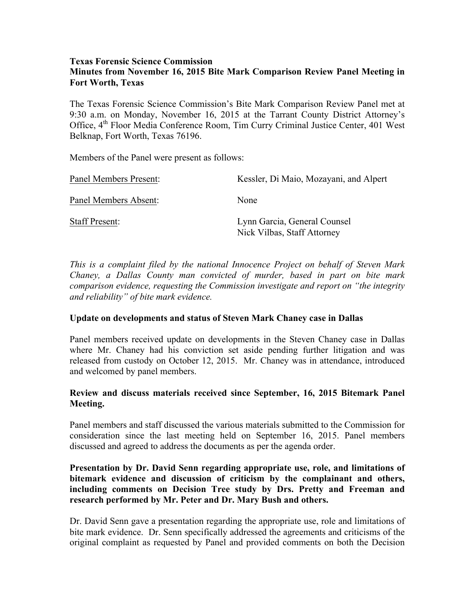### **Texas Forensic Science Commission Minutes from November 16, 2015 Bite Mark Comparison Review Panel Meeting in Fort Worth, Texas**

The Texas Forensic Science Commission's Bite Mark Comparison Review Panel met at 9:30 a.m. on Monday, November 16, 2015 at the Tarrant County District Attorney's Office, 4<sup>th</sup> Floor Media Conference Room, Tim Curry Criminal Justice Center, 401 West Belknap, Fort Worth, Texas 76196.

Members of the Panel were present as follows:

| Panel Members Present: | Kessler, Di Maio, Mozayani, and Alpert                      |
|------------------------|-------------------------------------------------------------|
| Panel Members Absent:  | None                                                        |
| <b>Staff Present:</b>  | Lynn Garcia, General Counsel<br>Nick Vilbas, Staff Attorney |

*This is a complaint filed by the national Innocence Project on behalf of Steven Mark Chaney, a Dallas County man convicted of murder, based in part on bite mark comparison evidence, requesting the Commission investigate and report on "the integrity and reliability" of bite mark evidence.*

### **Update on developments and status of Steven Mark Chaney case in Dallas**

Panel members received update on developments in the Steven Chaney case in Dallas where Mr. Chaney had his conviction set aside pending further litigation and was released from custody on October 12, 2015. Mr. Chaney was in attendance, introduced and welcomed by panel members.

## **Review and discuss materials received since September, 16, 2015 Bitemark Panel Meeting.**

Panel members and staff discussed the various materials submitted to the Commission for consideration since the last meeting held on September 16, 2015. Panel members discussed and agreed to address the documents as per the agenda order.

## **Presentation by Dr. David Senn regarding appropriate use, role, and limitations of bitemark evidence and discussion of criticism by the complainant and others, including comments on Decision Tree study by Drs. Pretty and Freeman and research performed by Mr. Peter and Dr. Mary Bush and others.**

Dr. David Senn gave a presentation regarding the appropriate use, role and limitations of bite mark evidence. Dr. Senn specifically addressed the agreements and criticisms of the original complaint as requested by Panel and provided comments on both the Decision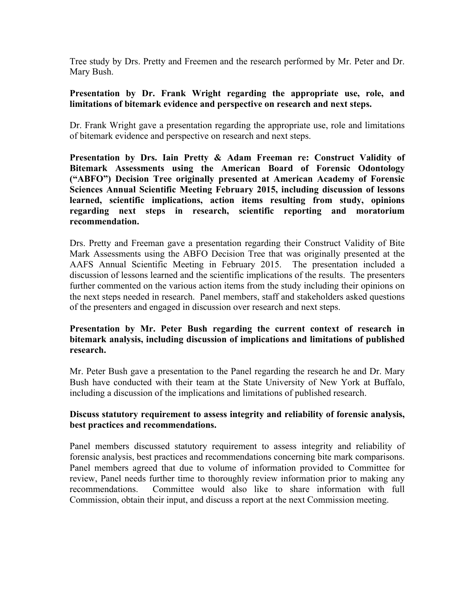Tree study by Drs. Pretty and Freemen and the research performed by Mr. Peter and Dr. Mary Bush.

### **Presentation by Dr. Frank Wright regarding the appropriate use, role, and limitations of bitemark evidence and perspective on research and next steps.**

Dr. Frank Wright gave a presentation regarding the appropriate use, role and limitations of bitemark evidence and perspective on research and next steps.

**Presentation by Drs. Iain Pretty & Adam Freeman re: Construct Validity of Bitemark Assessments using the American Board of Forensic Odontology ("ABFO") Decision Tree originally presented at American Academy of Forensic Sciences Annual Scientific Meeting February 2015, including discussion of lessons learned, scientific implications, action items resulting from study, opinions regarding next steps in research, scientific reporting and moratorium recommendation.**

Drs. Pretty and Freeman gave a presentation regarding their Construct Validity of Bite Mark Assessments using the ABFO Decision Tree that was originally presented at the AAFS Annual Scientific Meeting in February 2015. The presentation included a discussion of lessons learned and the scientific implications of the results. The presenters further commented on the various action items from the study including their opinions on the next steps needed in research. Panel members, staff and stakeholders asked questions of the presenters and engaged in discussion over research and next steps.

# **Presentation by Mr. Peter Bush regarding the current context of research in bitemark analysis, including discussion of implications and limitations of published research.**

Mr. Peter Bush gave a presentation to the Panel regarding the research he and Dr. Mary Bush have conducted with their team at the State University of New York at Buffalo, including a discussion of the implications and limitations of published research.

### **Discuss statutory requirement to assess integrity and reliability of forensic analysis, best practices and recommendations.**

Panel members discussed statutory requirement to assess integrity and reliability of forensic analysis, best practices and recommendations concerning bite mark comparisons. Panel members agreed that due to volume of information provided to Committee for review, Panel needs further time to thoroughly review information prior to making any recommendations. Committee would also like to share information with full Commission, obtain their input, and discuss a report at the next Commission meeting.